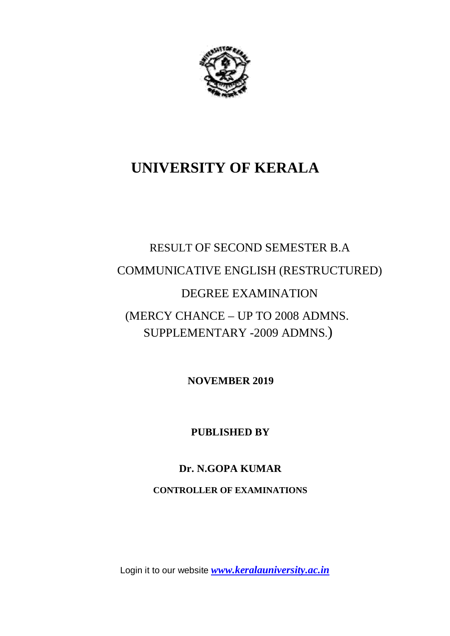

# **UNIVERSITY OF KERALA**

# RESULT OF SECOND SEMESTER B.A COMMUNICATIVE ENGLISH (RESTRUCTURED) DEGREE EXAMINATION (MERCY CHANCE – UP TO 2008 ADMNS. SUPPLEMENTARY -2009 ADMNS.)

 **NOVEMBER 2019**

**PUBLISHED BY**

## **Dr. N.GOPA KUMAR**

**CONTROLLER OF EXAMINATIONS**

Login it to our website *www.keralauniversity.ac.in*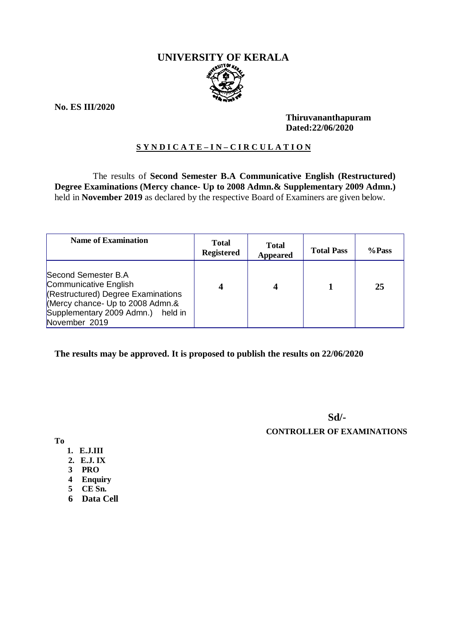# **UNIVERSITY OF KERALA**

**No. ES III/2020**

#### **Thiruvananthapuram Dated:22/06/2020**

### **S Y N D I C A T E – I N – C I R C U L A T I O N**

 The results of **Second Semester B.A Communicative English (Restructured) Degree Examinations (Mercy chance- Up to 2008 Admn.& Supplementary 2009 Admn.)**  held in **November 2019** as declared by the respective Board of Examiners are given below.

| <b>Name of Examination</b>                                                                                                                                                      | <b>Total</b><br><b>Registered</b> | <b>Total</b><br><b>Appeared</b> | <b>Total Pass</b> | %Pass |
|---------------------------------------------------------------------------------------------------------------------------------------------------------------------------------|-----------------------------------|---------------------------------|-------------------|-------|
| Second Semester B.A<br>Communicative English<br>(Restructured) Degree Examinations<br>(Mercy chance- Up to 2008 Admn.&<br>Supplementary 2009 Admn.)<br>held in<br>November 2019 | 4                                 |                                 |                   | 25    |

**The results may be approved. It is proposed to publish the results on 22/06/2020**

**Sd/-**

 **CONTROLLER OF EXAMINATIONS**

**To**

- **1. E.J.III**
- **2. E.J. IX**
- **3 PRO**
- **4 Enquiry**
- **5 CE Sn.**
- **6 Data Cell**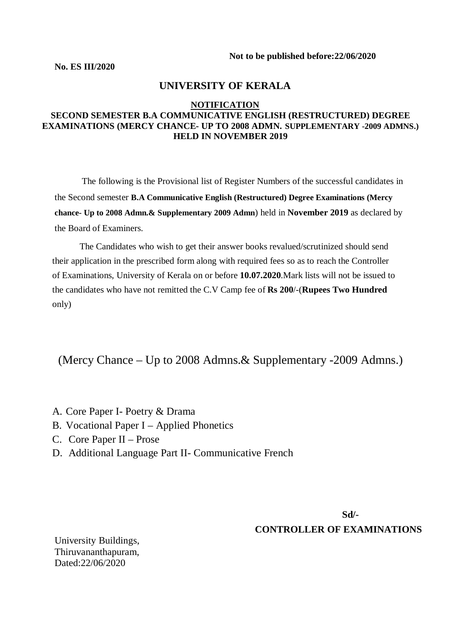**Not to be published before:22/06/2020**

**No. ES III/2020**

#### **UNIVERSITY OF KERALA**

#### **NOTIFICATION**

#### **SECOND SEMESTER B.A COMMUNICATIVE ENGLISH (RESTRUCTURED) DEGREE EXAMINATIONS (MERCY CHANCE- UP TO 2008 ADMN. SUPPLEMENTARY -2009 ADMNS.) HELD IN NOVEMBER 2019**

The following is the Provisional list of Register Numbers of the successful candidates in the Second semester **B.A Communicative English (Restructured) Degree Examinations (Mercy chance- Up to 2008 Admn.& Supplementary 2009 Admn**) held in **November 2019** as declared by the Board of Examiners.

 The Candidates who wish to get their answer books revalued/scrutinized should send their application in the prescribed form along with required fees so as to reach the Controller of Examinations, University of Kerala on or before **10.07.2020**.Mark lists will not be issued to the candidates who have not remitted the C.V Camp fee of **Rs 200**/-(**Rupees Two Hundred** only)

(Mercy Chance – Up to 2008 Admns.& Supplementary -2009 Admns.)

- A. Core Paper I- Poetry & Drama
- B. Vocational Paper I Applied Phonetics
- C. Core Paper II Prose
- D. Additional Language Part II- Communicative French

**Sd/- CONTROLLER OF EXAMINATIONS**

University Buildings, Thiruvananthapuram, Dated:22/06/2020